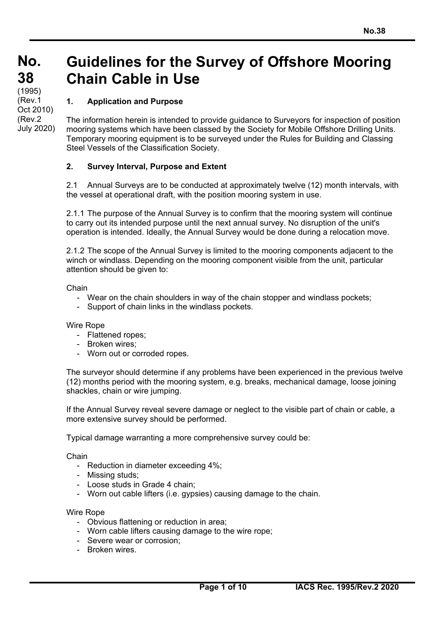**No. No. 38 38**   $(1995)$ 

(Rev.1 Oct 2010) (Rev.2 July 2020)

# **Guidelines for the Survey of Offshore Mooring Chain Cable in Use**

## **1. Application and Purpose**

The information herein is intended to provide guidance to Surveyors for inspection of position mooring systems which have been classed by the Society for Mobile Offshore Drilling Units. Temporary mooring equipment is to be surveyed under the Rules for Building and Classing Steel Vessels of the Classification Society.

## **2. Survey Interval, Purpose and Extent**

2.1 Annual Surveys are to be conducted at approximately twelve (12) month intervals, with the vessel at operational draft, with the position mooring system in use.

2.1.1 The purpose of the Annual Survey is to confirm that the mooring system will continue to carry out its intended purpose until the next annual survey. No disruption of the unit's operation is intended. Ideally, the Annual Survey would be done during a relocation move.

2.1.2 The scope of the Annual Survey is limited to the mooring components adjacent to the winch or windlass. Depending on the mooring component visible from the unit, particular attention should be given to:

Chain

- Wear on the chain shoulders in way of the chain stopper and windlass pockets;
- Support of chain links in the windlass pockets.

Wire Rope

- Flattened ropes;
- Broken wires;
- Worn out or corroded ropes.

The surveyor should determine if any problems have been experienced in the previous twelve (12) months period with the mooring system, e.g. breaks, mechanical damage, loose joining shackles, chain or wire jumping.

If the Annual Survey reveal severe damage or neglect to the visible part of chain or cable, a more extensive survey should be performed.

Typical damage warranting a more comprehensive survey could be:

Chain

- Reduction in diameter exceeding 4%;
- Missing studs;
- Loose studs in Grade 4 chain;
- Worn out cable lifters (i.e. gypsies) causing damage to the chain.

#### Wire Rope

 $\overline{a}$ 

- Obvious flattening or reduction in area;
- Worn cable lifters causing damage to the wire rope;
- Severe wear or corrosion;
- Broken wires.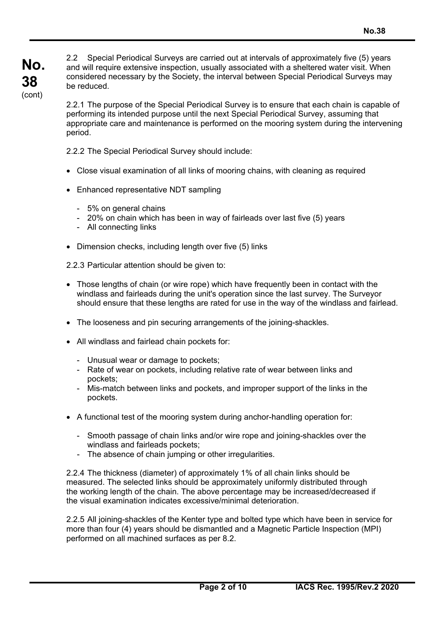**No. 38**  (cont)

2.2 Special Periodical Surveys are carried out at intervals of approximately five (5) years and will require extensive inspection, usually associated with a sheltered water visit. When considered necessary by the Society, the interval between Special Periodical Surveys may be reduced.

2.2.1 The purpose of the Special Periodical Survey is to ensure that each chain is capable of performing its intended purpose until the next Special Periodical Survey, assuming that appropriate care and maintenance is performed on the mooring system during the intervening period.

2.2.2 The Special Periodical Survey should include:

- Close visual examination of all links of mooring chains, with cleaning as required
- Enhanced representative NDT sampling
	- 5% on general chains
	- 20% on chain which has been in way of fairleads over last five (5) years
	- All connecting links

 $\overline{a}$ 

• Dimension checks, including length over five (5) links

2.2.3 Particular attention should be given to:

- Those lengths of chain (or wire rope) which have frequently been in contact with the windlass and fairleads during the unit's operation since the last survey. The Surveyor should ensure that these lengths are rated for use in the way of the windlass and fairlead.
- The looseness and pin securing arrangements of the joining-shackles.
- All windlass and fairlead chain pockets for:
	- Unusual wear or damage to pockets;
	- Rate of wear on pockets, including relative rate of wear between links and pockets;
	- Mis-match between links and pockets, and improper support of the links in the pockets.
- A functional test of the mooring system during anchor-handling operation for:
	- Smooth passage of chain links and/or wire rope and joining-shackles over the windlass and fairleads pockets;
	- The absence of chain jumping or other irregularities.

2.2.4 The thickness (diameter) of approximately 1% of all chain links should be measured. The selected links should be approximately uniformly distributed through the working length of the chain. The above percentage may be increased/decreased if the visual examination indicates excessive/minimal deterioration.

2.2.5 All joining-shackles of the Kenter type and bolted type which have been in service for more than four (4) years should be dismantled and a Magnetic Particle Inspection (MPI) performed on all machined surfaces as per 8.2.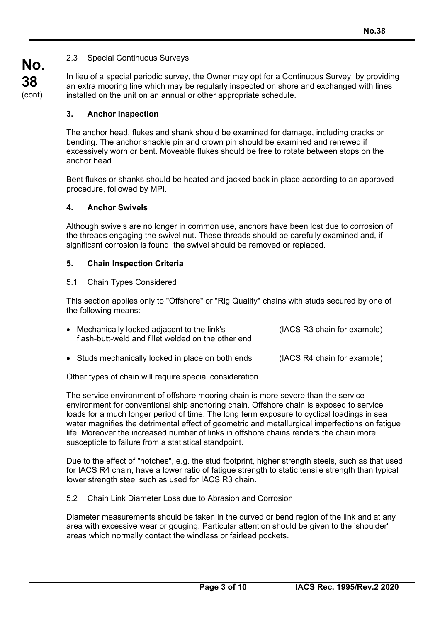## 2.3 Special Continuous Surveys

In lieu of a special periodic survey, the Owner may opt for a Continuous Survey, by providing an extra mooring line which may be regularly inspected on shore and exchanged with lines installed on the unit on an annual or other appropriate schedule.

### **3. Anchor Inspection**

**No.** 

**38**  (cont)

> The anchor head, flukes and shank should be examined for damage, including cracks or bending. The anchor shackle pin and crown pin should be examined and renewed if excessively worn or bent. Moveable flukes should be free to rotate between stops on the anchor head.

Bent flukes or shanks should be heated and jacked back in place according to an approved procedure, followed by MPI.

#### **4. Anchor Swivels**

Although swivels are no longer in common use, anchors have been lost due to corrosion of the threads engaging the swivel nut. These threads should be carefully examined and, if significant corrosion is found, the swivel should be removed or replaced.

#### **5. Chain Inspection Criteria**

#### 5.1 Chain Types Considered

 $\overline{a}$ 

This section applies only to "Offshore" or "Rig Quality" chains with studs secured by one of the following means:

| • Mechanically locked adjacent to the link's<br>flash-butt-weld and fillet welded on the other end | (IACS R3 chain for example) |
|----------------------------------------------------------------------------------------------------|-----------------------------|
| • Studs mechanically locked in place on both ends                                                  | (IACS R4 chain for example) |

Other types of chain will require special consideration.

The service environment of offshore mooring chain is more severe than the service environment for conventional ship anchoring chain. Offshore chain is exposed to service loads for a much longer period of time. The long term exposure to cyclical loadings in sea water magnifies the detrimental effect of geometric and metallurgical imperfections on fatigue life. Moreover the increased number of links in offshore chains renders the chain more susceptible to failure from a statistical standpoint.

Due to the effect of "notches", e.g. the stud footprint, higher strength steels, such as that used for IACS R4 chain, have a lower ratio of fatigue strength to static tensile strength than typical lower strength steel such as used for IACS R3 chain.

5.2 Chain Link Diameter Loss due to Abrasion and Corrosion

Diameter measurements should be taken in the curved or bend region of the link and at any area with excessive wear or gouging. Particular attention should be given to the 'shoulder' areas which normally contact the windlass or fairlead pockets.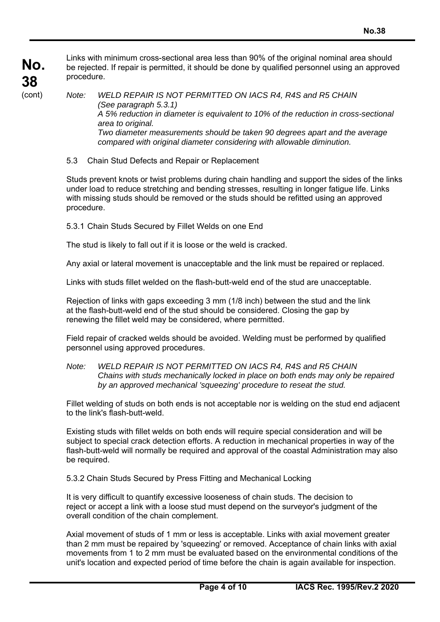**No. 38** 

Links with minimum cross-sectional area less than 90% of the original nominal area should be rejected. If repair is permitted, it should be done by qualified personnel using an approved procedure.

(cont)

 $\overline{a}$ 

*Note: WELD REPAIR IS NOT PERMITTED ON IACS R4, R4S and R5 CHAIN (See paragraph 5.3.1) A 5% reduction in diameter is equivalent to 10% of the reduction in cross-sectional area to original. Two diameter measurements should be taken 90 degrees apart and the average compared with original diameter considering with allowable diminution.* 

5.3 Chain Stud Defects and Repair or Replacement

Studs prevent knots or twist problems during chain handling and support the sides of the links under load to reduce stretching and bending stresses, resulting in longer fatigue life. Links with missing studs should be removed or the studs should be refitted using an approved procedure.

5.3.1 Chain Studs Secured by Fillet Welds on one End

The stud is likely to fall out if it is loose or the weld is cracked.

Any axial or lateral movement is unacceptable and the link must be repaired or replaced.

Links with studs fillet welded on the flash-butt-weld end of the stud are unacceptable.

Rejection of links with gaps exceeding 3 mm (1/8 inch) between the stud and the link at the flash-butt-weld end of the stud should be considered. Closing the gap by renewing the fillet weld may be considered, where permitted.

Field repair of cracked welds should be avoided. Welding must be performed by qualified personnel using approved procedures.

*Note: WELD REPAIR IS NOT PERMITTED ON IACS R4, R4S and R5 CHAIN Chains with studs mechanically locked in place on both ends may only be repaired by an approved mechanical 'squeezing' procedure to reseat the stud.* 

Fillet welding of studs on both ends is not acceptable nor is welding on the stud end adjacent to the link's flash-butt-weld.

Existing studs with fillet welds on both ends will require special consideration and will be subject to special crack detection efforts. A reduction in mechanical properties in way of the flash-butt-weld will normally be required and approval of the coastal Administration may also be required.

5.3.2 Chain Studs Secured by Press Fitting and Mechanical Locking

It is very difficult to quantify excessive looseness of chain studs. The decision to reject or accept a link with a loose stud must depend on the surveyor's judgment of the overall condition of the chain complement.

Axial movement of studs of 1 mm or less is acceptable. Links with axial movement greater than 2 mm must be repaired by 'squeezing' or removed. Acceptance of chain links with axial movements from 1 to 2 mm must be evaluated based on the environmental conditions of the unit's location and expected period of time before the chain is again available for inspection.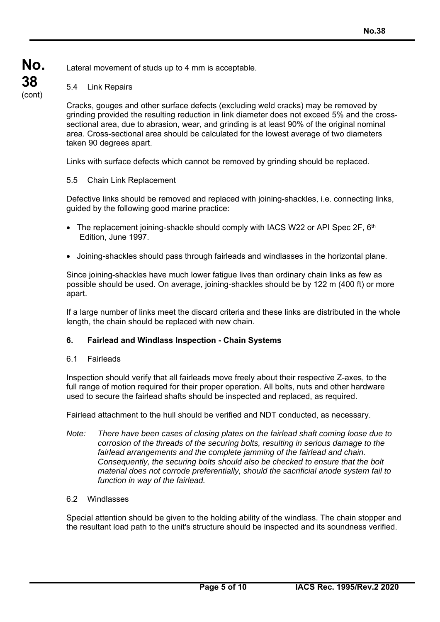#### **No.**  Lateral movement of studs up to 4 mm is acceptable.

## 5.4 Link Repairs

**38**  (cont)

> Cracks, gouges and other surface defects (excluding weld cracks) may be removed by grinding provided the resulting reduction in link diameter does not exceed 5% and the crosssectional area, due to abrasion, wear, and grinding is at least 90% of the original nominal area. Cross-sectional area should be calculated for the lowest average of two diameters taken 90 degrees apart.

Links with surface defects which cannot be removed by grinding should be replaced.

## 5.5 Chain Link Replacement

Defective links should be removed and replaced with joining-shackles, i.e. connecting links, guided by the following good marine practice:

- The replacement joining-shackle should comply with IACS W22 or API Spec 2F,  $6<sup>th</sup>$ Edition, June 1997.
- Joining-shackles should pass through fairleads and windlasses in the horizontal plane.

Since joining-shackles have much lower fatigue lives than ordinary chain links as few as possible should be used. On average, joining-shackles should be by 122 m (400 ft) or more apart.

If a large number of links meet the discard criteria and these links are distributed in the whole length, the chain should be replaced with new chain.

#### **6. Fairlead and Windlass Inspection - Chain Systems**

#### 6.1 Fairleads

Inspection should verify that all fairleads move freely about their respective Z-axes, to the full range of motion required for their proper operation. All bolts, nuts and other hardware used to secure the fairlead shafts should be inspected and replaced, as required.

Fairlead attachment to the hull should be verified and NDT conducted, as necessary.

*Note: There have been cases of closing plates on the fairlead shaft coming loose due to corrosion of the threads of the securing bolts, resulting in serious damage to the fairlead arrangements and the complete jamming of the fairlead and chain. Consequently, the securing bolts should also be checked to ensure that the bolt material does not corrode preferentially, should the sacrificial anode system fail to function in way of the fairlead.* 

#### 6.2 Windlasses

 $\overline{a}$ 

Special attention should be given to the holding ability of the windlass. The chain stopper and the resultant load path to the unit's structure should be inspected and its soundness verified.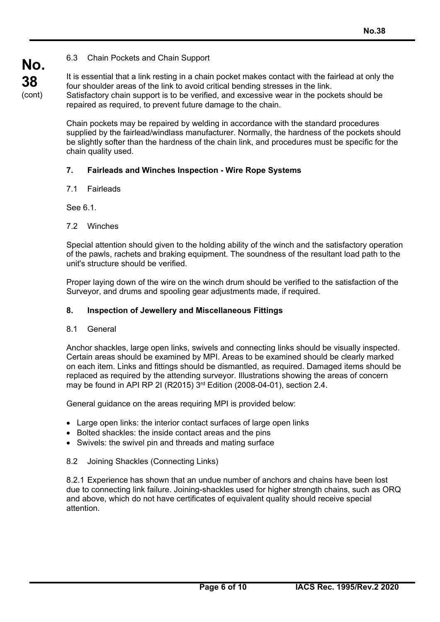## 6.3 Chain Pockets and Chain Support

(cont) It is essential that a link resting in a chain pocket makes contact with the fairlead at only the four shoulder areas of the link to avoid critical bending stresses in the link. Satisfactory chain support is to be verified, and excessive wear in the pockets should be repaired as required, to prevent future damage to the chain.

> Chain pockets may be repaired by welding in accordance with the standard procedures supplied by the fairlead/windlass manufacturer. Normally, the hardness of the pockets should be slightly softer than the hardness of the chain link, and procedures must be specific for the chain quality used.

## **7. Fairleads and Winches Inspection - Wire Rope Systems**

#### 7.1 Fairleads

See 6.1.

#### 7.2 Winches

Special attention should given to the holding ability of the winch and the satisfactory operation of the pawls, rachets and braking equipment. The soundness of the resultant load path to the unit's structure should be verified.

Proper laying down of the wire on the winch drum should be verified to the satisfaction of the Surveyor, and drums and spooling gear adjustments made, if required.

### **8. Inspection of Jewellery and Miscellaneous Fittings**

#### 8.1 General

 $\overline{a}$ 

Anchor shackles, large open links, swivels and connecting links should be visually inspected. Certain areas should be examined by MPI. Areas to be examined should be clearly marked on each item. Links and fittings should be dismantled, as required. Damaged items should be replaced as required by the attending surveyor. Illustrations showing the areas of concern may be found in API RP 2I (R2015) 3rd Edition (2008-04-01), section 2.4.

General guidance on the areas requiring MPI is provided below:

- Large open links: the interior contact surfaces of large open links
- Bolted shackles: the inside contact areas and the pins
- Swivels: the swivel pin and threads and mating surface

#### 8.2 Joining Shackles (Connecting Links)

8.2.1 Experience has shown that an undue number of anchors and chains have been lost due to connecting link failure. Joining-shackles used for higher strength chains, such as ORQ and above, which do not have certificates of equivalent quality should receive special attention.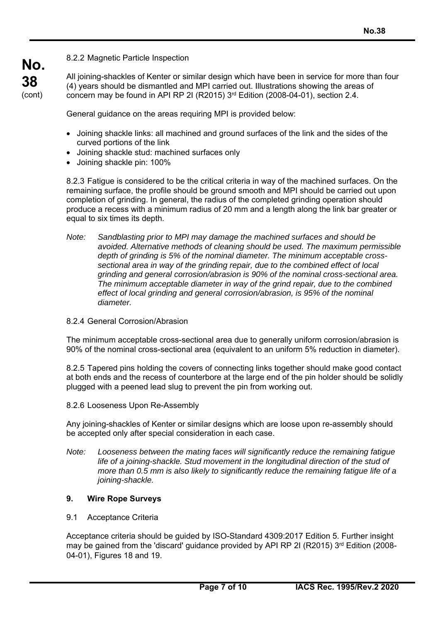8.2.2 Magnetic Particle Inspection

All joining-shackles of Kenter or similar design which have been in service for more than four (4) years should be dismantled and MPI carried out. Illustrations showing the areas of concern may be found in API RP 2I (R2015)  $3<sup>rd</sup>$  Edition (2008-04-01), section 2.4.

General guidance on the areas requiring MPI is provided below:

- Joining shackle links: all machined and ground surfaces of the link and the sides of the curved portions of the link
- Joining shackle stud: machined surfaces only
- Joining shackle pin: 100%

8.2.3 Fatigue is considered to be the critical criteria in way of the machined surfaces. On the remaining surface, the profile should be ground smooth and MPI should be carried out upon completion of grinding. In general, the radius of the completed grinding operation should produce a recess with a minimum radius of 20 mm and a length along the link bar greater or equal to six times its depth.

- *Note: Sandblasting prior to MPI may damage the machined surfaces and should be avoided. Alternative methods of cleaning should be used. The maximum permissible depth of grinding is 5% of the nominal diameter. The minimum acceptable cross sectional area in way of the grinding repair, due to the combined effect of local grinding and general corrosion/abrasion is 90% of the nominal cross-sectional area. The minimum acceptable diameter in way of the grind repair, due to the combined effect of local grinding and general corrosion/abrasion, is 95% of the nominal diameter.*
- 8.2.4 General Corrosion/Abrasion

The minimum acceptable cross-sectional area due to generally uniform corrosion/abrasion is 90% of the nominal cross-sectional area (equivalent to an uniform 5% reduction in diameter).

8.2.5 Tapered pins holding the covers of connecting links together should make good contact at both ends and the recess of counterbore at the large end of the pin holder should be solidly plugged with a peened lead slug to prevent the pin from working out.

8.2.6 Looseness Upon Re-Assembly

Any joining-shackles of Kenter or similar designs which are loose upon re-assembly should be accepted only after special consideration in each case.

*Note: Looseness between the mating faces will significantly reduce the remaining fatigue*  life of a joining-shackle. Stud movement in the longitudinal direction of the stud of *more than 0.5 mm is also likely to significantly reduce the remaining fatigue life of a joining-shackle.*

## **9. Wire Rope Surveys**

9.1 Acceptance Criteria

 $\overline{a}$ 

Acceptance criteria should be guided by ISO-Standard 4309:2017 Edition 5. Further insight may be gained from the 'discard' guidance provided by API RP 2I (R2015)  $3<sup>rd</sup>$  Edition (2008-04-01), Figures 18 and 19.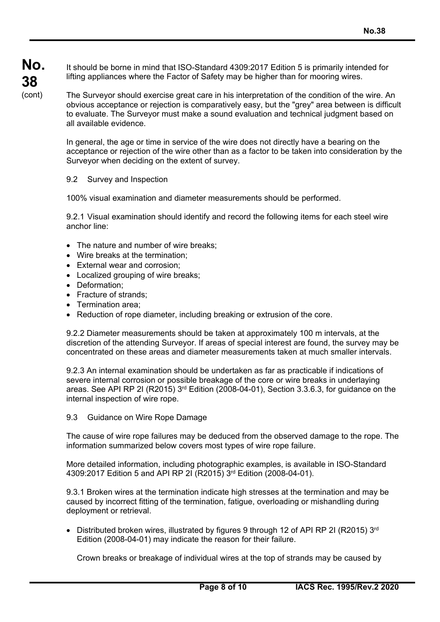It should be borne in mind that ISO-Standard 4309:2017 Edition 5 is primarily intended for lifting appliances where the Factor of Safety may be higher than for mooring wires.

The Surveyor should exercise great care in his interpretation of the condition of the wire. An obvious acceptance or rejection is comparatively easy, but the "grey" area between is difficult to evaluate. The Surveyor must make a sound evaluation and technical judgment based on all available evidence.

In general, the age or time in service of the wire does not directly have a bearing on the acceptance or rejection of the wire other than as a factor to be taken into consideration by the Surveyor when deciding on the extent of survey.

#### 9.2 Survey and Inspection

100% visual examination and diameter measurements should be performed.

9.2.1 Visual examination should identify and record the following items for each steel wire anchor line:

- The nature and number of wire breaks:
- Wire breaks at the termination;
- External wear and corrosion:
- Localized grouping of wire breaks;
- Deformation;

 $\overline{a}$ 

- Fracture of strands:
- Termination area:
- Reduction of rope diameter, including breaking or extrusion of the core.

9.2.2 Diameter measurements should be taken at approximately 100 m intervals, at the discretion of the attending Surveyor. If areas of special interest are found, the survey may be concentrated on these areas and diameter measurements taken at much smaller intervals.

9.2.3 An internal examination should be undertaken as far as practicable if indications of severe internal corrosion or possible breakage of the core or wire breaks in underlaying areas. See API RP 2I (R2015) 3rd Edition (2008-04-01), Section 3.3.6.3, for guidance on the internal inspection of wire rope.

9.3 Guidance on Wire Rope Damage

The cause of wire rope failures may be deduced from the observed damage to the rope. The information summarized below covers most types of wire rope failure.

More detailed information, including photographic examples, is available in ISO-Standard 4309:2017 Edition 5 and API RP 2I (R2015) 3rd Edition (2008-04-01).

9.3.1 Broken wires at the termination indicate high stresses at the termination and may be caused by incorrect fitting of the termination, fatigue, overloading or mishandling during deployment or retrieval.

• Distributed broken wires, illustrated by figures 9 through 12 of API RP 2I (R2015)  $3<sup>rd</sup>$ Edition (2008-04-01) may indicate the reason for their failure.

Crown breaks or breakage of individual wires at the top of strands may be caused by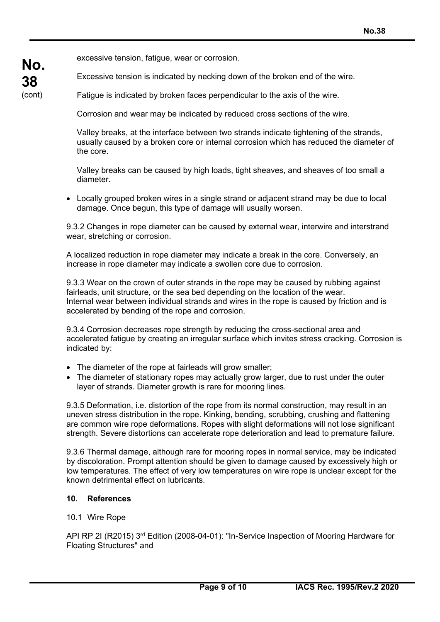excessive tension, fatigue, wear or corrosion.

**No.** 

**38**  (cont) Excessive tension is indicated by necking down of the broken end of the wire.

Fatigue is indicated by broken faces perpendicular to the axis of the wire.

Corrosion and wear may be indicated by reduced cross sections of the wire.

Valley breaks, at the interface between two strands indicate tightening of the strands, usually caused by a broken core or internal corrosion which has reduced the diameter of the core.

Valley breaks can be caused by high loads, tight sheaves, and sheaves of too small a diameter.

 Locally grouped broken wires in a single strand or adjacent strand may be due to local damage. Once begun, this type of damage will usually worsen.

9.3.2 Changes in rope diameter can be caused by external wear, interwire and interstrand wear, stretching or corrosion.

A localized reduction in rope diameter may indicate a break in the core. Conversely, an increase in rope diameter may indicate a swollen core due to corrosion.

9.3.3 Wear on the crown of outer strands in the rope may be caused by rubbing against fairleads, unit structure, or the sea bed depending on the location of the wear. Internal wear between individual strands and wires in the rope is caused by friction and is accelerated by bending of the rope and corrosion.

9.3.4 Corrosion decreases rope strength by reducing the cross-sectional area and accelerated fatigue by creating an irregular surface which invites stress cracking. Corrosion is indicated by:

- The diameter of the rope at fairleads will grow smaller;
- The diameter of stationary ropes may actually grow larger, due to rust under the outer layer of strands. Diameter growth is rare for mooring lines.

9.3.5 Deformation, i.e. distortion of the rope from its normal construction, may result in an uneven stress distribution in the rope. Kinking, bending, scrubbing, crushing and flattening are common wire rope deformations. Ropes with slight deformations will not lose significant strength. Severe distortions can accelerate rope deterioration and lead to premature failure.

9.3.6 Thermal damage, although rare for mooring ropes in normal service, may be indicated by discoloration. Prompt attention should be given to damage caused by excessively high or low temperatures. The effect of very low temperatures on wire rope is unclear except for the known detrimental effect on lubricants.

#### **10. References**

#### 10.1 Wire Rope

 $\overline{a}$ 

API RP 2I (R2015) 3rd Edition (2008-04-01): "In-Service Inspection of Mooring Hardware for Floating Structures" and